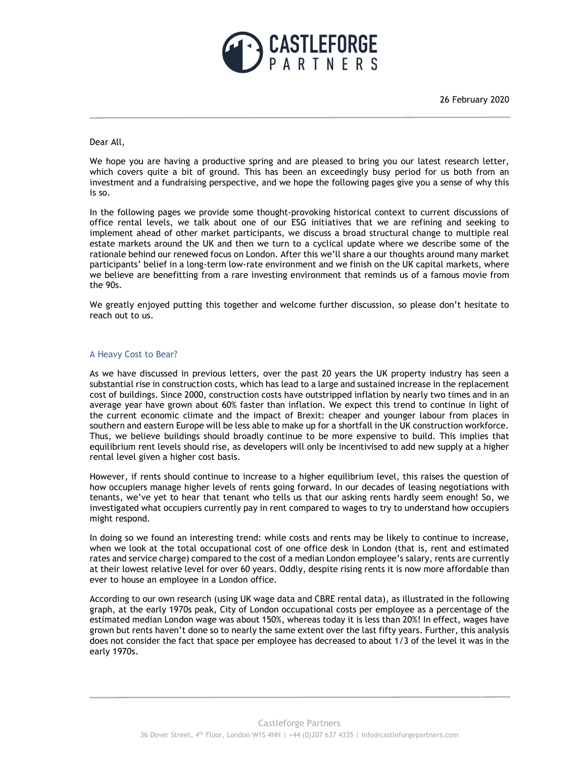

26 February 2020

## Dear All,

We hope you are having a productive spring and are pleased to bring you our latest research letter, which covers quite a bit of ground. This has been an exceedingly busy period for us both from an investment and a fundraising perspective, and we hope the following pages give you a sense of why this is so.

In the following pages we provide some thought-provoking historical context to current discussions of office rental levels, we talk about one of our ESG initiatives that we are refining and seeking to implement ahead of other market participants, we discuss a broad structural change to multiple real estate markets around the UK and then we turn to a cyclical update where we describe some of the rationale behind our renewed focus on London. After this we'll share a our thoughts around many market participants' belief in a long-term low-rate environment and we finish on the UK capital markets, where we believe are benefitting from a rare investing environment that reminds us of a famous movie from the 90s.

We greatly enjoyed putting this together and welcome further discussion, so please don't hesitate to reach out to us.

# A Heavy Cost to Bear?

As we have discussed in previous letters, over the past 20 years the UK property industry has seen a substantial rise in construction costs, which has lead to a large and sustained increase in the replacement cost of buildings. Since 2000, construction costs have outstripped inflation by nearly two times and in an average year have grown about 60% faster than inflation. We expect this trend to continue in light of the current economic climate and the impact of Brexit: cheaper and younger labour from places in southern and eastern Europe will be less able to make up for a shortfall in the UK construction workforce. Thus, we believe buildings should broadly continue to be more expensive to build. This implies that equilibrium rent levels should rise, as developers will only be incentivised to add new supply at a higher rental level given a higher cost basis.

However, if rents should continue to increase to a higher equilibrium level, this raises the question of how occupiers manage higher levels of rents going forward. In our decades of leasing negotiations with tenants, we've yet to hear that tenant who tells us that our asking rents hardly seem enough! So, we investigated what occupiers currently pay in rent compared to wages to try to understand how occupiers might respond.

In doing so we found an interesting trend: while costs and rents may be likely to continue to increase, when we look at the total occupational cost of one office desk in London (that is, rent and estimated rates and service charge) compared to the cost of a median London employee's salary, rents are currently at their lowest relative level for over 60 years. Oddly, despite rising rents it is now more affordable than ever to house an employee in a London office.

According to our own research (using UK wage data and CBRE rental data), as illustrated in the following graph, at the early 1970s peak, City of London occupational costs per employee as a percentage of the estimated median London wage was about 150%, whereas today it is less than 20%! In effect, wages have grown but rents haven't done so to nearly the same extent over the last fifty years. Further, this analysis does not consider the fact that space per employee has decreased to about 1/3 of the level it was in the early 1970s.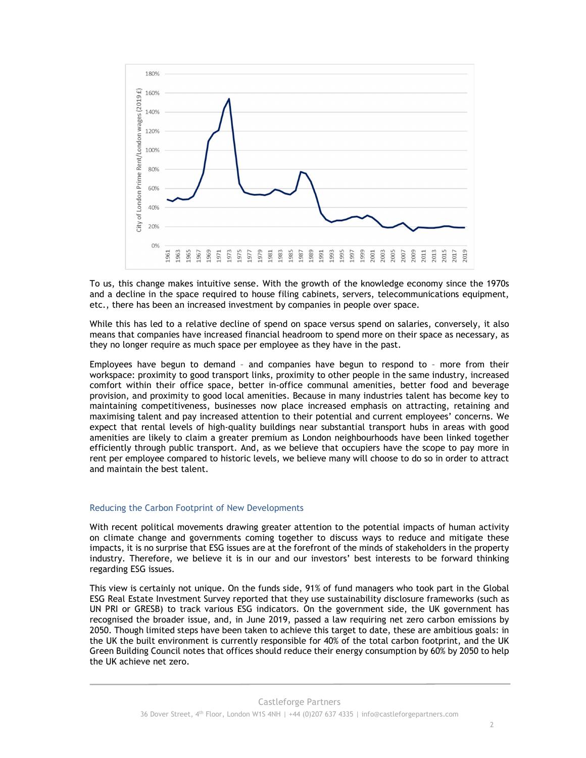

To us, this change makes intuitive sense. With the growth of the knowledge economy since the 1970s and a decline in the space required to house filing cabinets, servers, telecommunications equipment, etc., there has been an increased investment by companies in people over space.

While this has led to a relative decline of spend on space versus spend on salaries, conversely, it also means that companies have increased financial headroom to spend more on their space as necessary, as they no longer require as much space per employee as they have in the past.

Employees have begun to demand – and companies have begun to respond to – more from their workspace: proximity to good transport links, proximity to other people in the same industry, increased comfort within their office space, better in-office communal amenities, better food and beverage provision, and proximity to good local amenities. Because in many industries talent has become key to maintaining competitiveness, businesses now place increased emphasis on attracting, retaining and maximising talent and pay increased attention to their potential and current employees' concerns. We expect that rental levels of high-quality buildings near substantial transport hubs in areas with good amenities are likely to claim a greater premium as London neighbourhoods have been linked together efficiently through public transport. And, as we believe that occupiers have the scope to pay more in rent per employee compared to historic levels, we believe many will choose to do so in order to attract and maintain the best talent.

### Reducing the Carbon Footprint of New Developments

With recent political movements drawing greater attention to the potential impacts of human activity on climate change and governments coming together to discuss ways to reduce and mitigate these impacts, it is no surprise that ESG issues are at the forefront of the minds of stakeholders in the property industry. Therefore, we believe it is in our and our investors' best interests to be forward thinking regarding ESG issues.

This view is certainly not unique. On the funds side, 91% of fund managers who took part in the Global ESG Real Estate Investment Survey reported that they use sustainability disclosure frameworks (such as UN PRI or GRESB) to track various ESG indicators. On the government side, the UK government has recognised the broader issue, and, in June 2019, passed a law requiring net zero carbon emissions by 2050. Though limited steps have been taken to achieve this target to date, these are ambitious goals: in the UK the built environment is currently responsible for 40% of the total carbon footprint, and the UK Green Building Council notes that offices should reduce their energy consumption by 60% by 2050 to help the UK achieve net zero.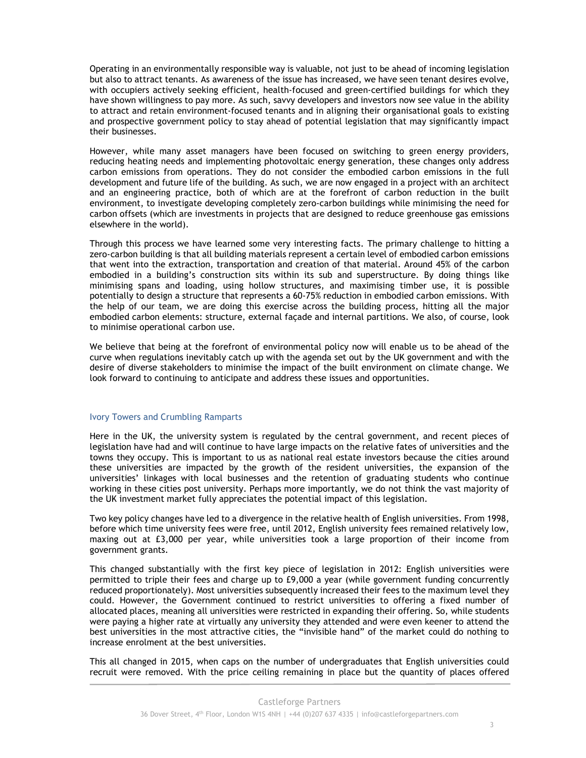Operating in an environmentally responsible way is valuable, not just to be ahead of incoming legislation but also to attract tenants. As awareness of the issue has increased, we have seen tenant desires evolve, with occupiers actively seeking efficient, health-focused and green-certified buildings for which they have shown willingness to pay more. As such, savvy developers and investors now see value in the ability to attract and retain environment-focused tenants and in aligning their organisational goals to existing and prospective government policy to stay ahead of potential legislation that may significantly impact their businesses.

However, while many asset managers have been focused on switching to green energy providers, reducing heating needs and implementing photovoltaic energy generation, these changes only address carbon emissions from operations. They do not consider the embodied carbon emissions in the full development and future life of the building. As such, we are now engaged in a project with an architect and an engineering practice, both of which are at the forefront of carbon reduction in the built environment, to investigate developing completely zero-carbon buildings while minimising the need for carbon offsets (which are investments in projects that are designed to reduce greenhouse gas emissions elsewhere in the world).

Through this process we have learned some very interesting facts. The primary challenge to hitting a zero-carbon building is that all building materials represent a certain level of embodied carbon emissions that went into the extraction, transportation and creation of that material. Around 45% of the carbon embodied in a building's construction sits within its sub and superstructure. By doing things like minimising spans and loading, using hollow structures, and maximising timber use, it is possible potentially to design a structure that represents a 60-75% reduction in embodied carbon emissions. With the help of our team, we are doing this exercise across the building process, hitting all the major embodied carbon elements: structure, external façade and internal partitions. We also, of course, look to minimise operational carbon use.

We believe that being at the forefront of environmental policy now will enable us to be ahead of the curve when regulations inevitably catch up with the agenda set out by the UK government and with the desire of diverse stakeholders to minimise the impact of the built environment on climate change. We look forward to continuing to anticipate and address these issues and opportunities.

### Ivory Towers and Crumbling Ramparts

Here in the UK, the university system is regulated by the central government, and recent pieces of legislation have had and will continue to have large impacts on the relative fates of universities and the towns they occupy. This is important to us as national real estate investors because the cities around these universities are impacted by the growth of the resident universities, the expansion of the universities' linkages with local businesses and the retention of graduating students who continue working in these cities post university. Perhaps more importantly, we do not think the vast majority of the UK investment market fully appreciates the potential impact of this legislation.

Two key policy changes have led to a divergence in the relative health of English universities. From 1998, before which time university fees were free, until 2012, English university fees remained relatively low, maxing out at £3,000 per year, while universities took a large proportion of their income from government grants.

This changed substantially with the first key piece of legislation in 2012: English universities were permitted to triple their fees and charge up to £9,000 a year (while government funding concurrently reduced proportionately). Most universities subsequently increased their fees to the maximum level they could. However, the Government continued to restrict universities to offering a fixed number of allocated places, meaning all universities were restricted in expanding their offering. So, while students were paying a higher rate at virtually any university they attended and were even keener to attend the best universities in the most attractive cities, the "invisible hand" of the market could do nothing to increase enrolment at the best universities.

This all changed in 2015, when caps on the number of undergraduates that English universities could recruit were removed. With the price ceiling remaining in place but the quantity of places offered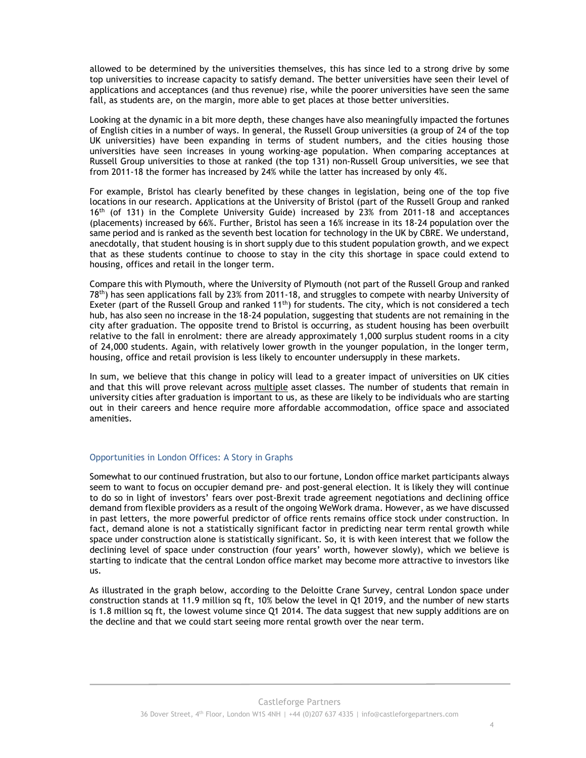allowed to be determined by the universities themselves, this has since led to a strong drive by some top universities to increase capacity to satisfy demand. The better universities have seen their level of applications and acceptances (and thus revenue) rise, while the poorer universities have seen the same fall, as students are, on the margin, more able to get places at those better universities.

Looking at the dynamic in a bit more depth, these changes have also meaningfully impacted the fortunes of English cities in a number of ways. In general, the Russell Group universities (a group of 24 of the top UK universities) have been expanding in terms of student numbers, and the cities housing those universities have seen increases in young working-age population. When comparing acceptances at Russell Group universities to those at ranked (the top 131) non-Russell Group universities, we see that from 2011-18 the former has increased by 24% while the latter has increased by only 4%.

For example, Bristol has clearly benefited by these changes in legislation, being one of the top five locations in our research. Applications at the University of Bristol (part of the Russell Group and ranked 16<sup>th</sup> (of 131) in the Complete University Guide) increased by 23% from 2011-18 and acceptances (placements) increased by 66%. Further, Bristol has seen a 16% increase in its 18-24 population over the same period and is ranked as the seventh best location for technology in the UK by CBRE. We understand, anecdotally, that student housing is in short supply due to this student population growth, and we expect that as these students continue to choose to stay in the city this shortage in space could extend to housing, offices and retail in the longer term.

Compare this with Plymouth, where the University of Plymouth (not part of the Russell Group and ranked 78<sup>th</sup>) has seen applications fall by 23% from 2011-18, and struggles to compete with nearby University of Exeter (part of the Russell Group and ranked  $11^{th}$ ) for students. The city, which is not considered a tech hub, has also seen no increase in the 18-24 population, suggesting that students are not remaining in the city after graduation. The opposite trend to Bristol is occurring, as student housing has been overbuilt relative to the fall in enrolment: there are already approximately 1,000 surplus student rooms in a city of 24,000 students. Again, with relatively lower growth in the younger population, in the longer term, housing, office and retail provision is less likely to encounter undersupply in these markets.

In sum, we believe that this change in policy will lead to a greater impact of universities on UK cities and that this will prove relevant across multiple asset classes. The number of students that remain in university cities after graduation is important to us, as these are likely to be individuals who are starting out in their careers and hence require more affordable accommodation, office space and associated amenities.

### Opportunities in London Offices: A Story in Graphs

Somewhat to our continued frustration, but also to our fortune, London office market participants always seem to want to focus on occupier demand pre- and post-general election. It is likely they will continue to do so in light of investors' fears over post-Brexit trade agreement negotiations and declining office demand from flexible providers as a result of the ongoing WeWork drama. However, as we have discussed in past letters, the more powerful predictor of office rents remains office stock under construction. In fact, demand alone is not a statistically significant factor in predicting near term rental growth while space under construction alone is statistically significant. So, it is with keen interest that we follow the declining level of space under construction (four years' worth, however slowly), which we believe is starting to indicate that the central London office market may become more attractive to investors like us.

As illustrated in the graph below, according to the Deloitte Crane Survey, central London space under construction stands at 11.9 million sq ft, 10% below the level in Q1 2019, and the number of new starts is 1.8 million sq ft, the lowest volume since Q1 2014. The data suggest that new supply additions are on the decline and that we could start seeing more rental growth over the near term.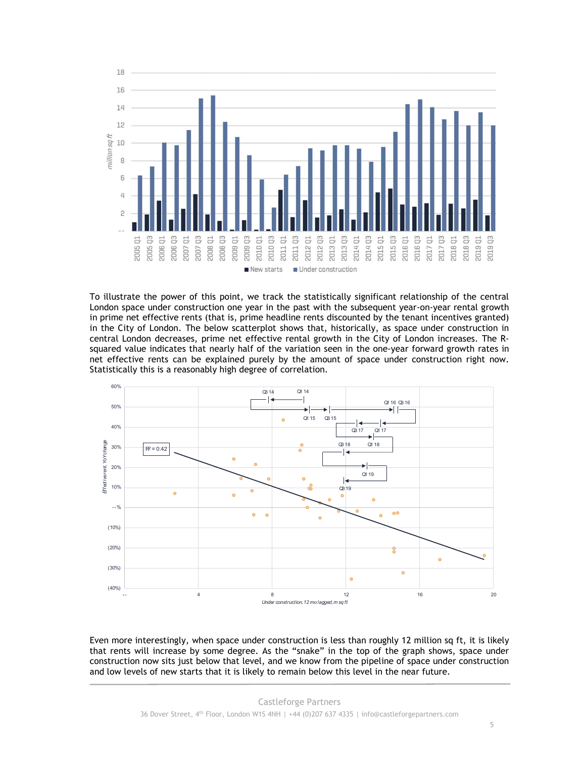

To illustrate the power of this point, we track the statistically significant relationship of the central London space under construction one year in the past with the subsequent year-on-year rental growth in prime net effective rents (that is, prime headline rents discounted by the tenant incentives granted) in the City of London. The below scatterplot shows that, historically, as space under construction in central London decreases, prime net effective rental growth in the City of London increases. The Rsquared value indicates that nearly half of the variation seen in the one-year forward growth rates in net effective rents can be explained purely by the amount of space under construction right now. Statistically this is a reasonably high degree of correlation.



Even more interestingly, when space under construction is less than roughly 12 million sq ft, it is likely that rents will increase by some degree. As the "snake" in the top of the graph shows, space under construction now sits just below that level, and we know from the pipeline of space under construction and low levels of new starts that it is likely to remain below this level in the near future.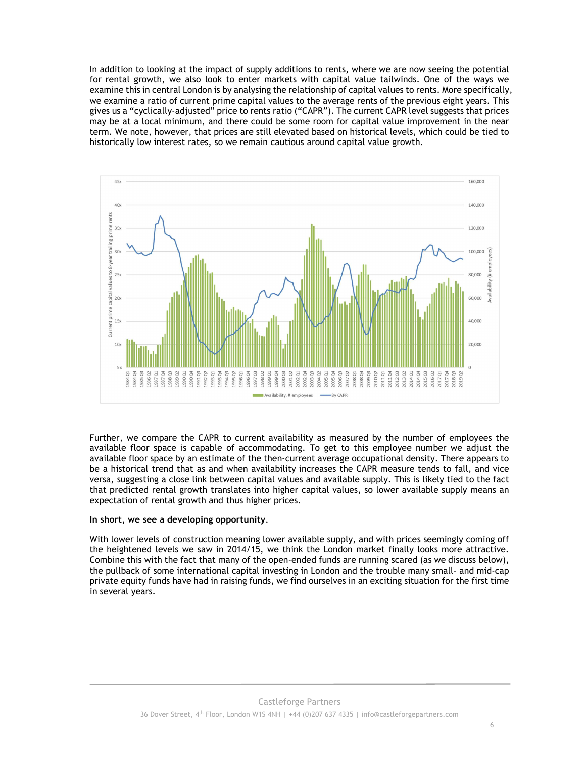In addition to looking at the impact of supply additions to rents, where we are now seeing the potential for rental growth, we also look to enter markets with capital value tailwinds. One of the ways we examine this in central London is by analysing the relationship of capital values to rents. More specifically, we examine a ratio of current prime capital values to the average rents of the previous eight years. This gives us a "cyclically-adjusted" price to rents ratio ("CAPR"). The current CAPR level suggests that prices may be at a local minimum, and there could be some room for capital value improvement in the near term. We note, however, that prices are still elevated based on historical levels, which could be tied to historically low interest rates, so we remain cautious around capital value growth.



Further, we compare the CAPR to current availability as measured by the number of employees the available floor space is capable of accommodating. To get to this employee number we adjust the available floor space by an estimate of the then-current average occupational density. There appears to be a historical trend that as and when availability increases the CAPR measure tends to fall, and vice versa, suggesting a close link between capital values and available supply. This is likely tied to the fact that predicted rental growth translates into higher capital values, so lower available supply means an expectation of rental growth and thus higher prices.

### In short, we see a developing opportunity.

With lower levels of construction meaning lower available supply, and with prices seemingly coming off the heightened levels we saw in 2014/15, we think the London market finally looks more attractive. Combine this with the fact that many of the open-ended funds are running scared (as we discuss below), the pullback of some international capital investing in London and the trouble many small- and mid-cap private equity funds have had in raising funds, we find ourselves in an exciting situation for the first time in several years.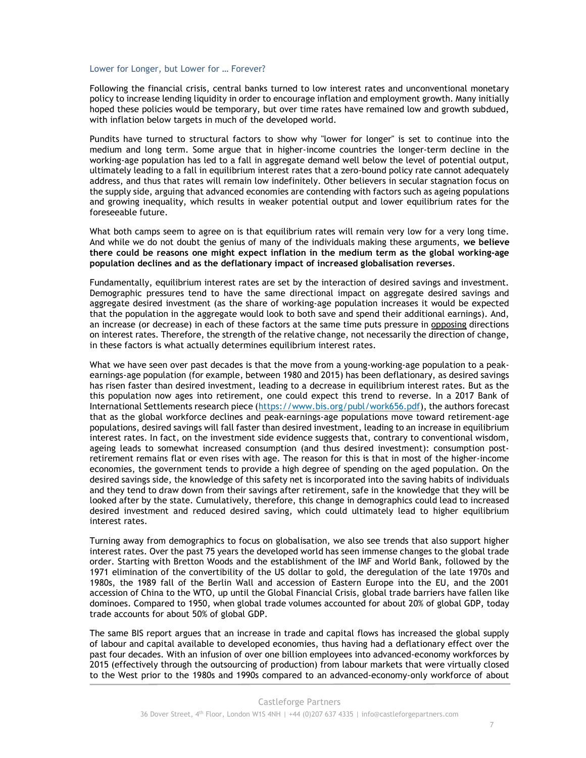#### Lower for Longer, but Lower for … Forever?

Following the financial crisis, central banks turned to low interest rates and unconventional monetary policy to increase lending liquidity in order to encourage inflation and employment growth. Many initially hoped these policies would be temporary, but over time rates have remained low and growth subdued, with inflation below targets in much of the developed world.

Pundits have turned to structural factors to show why "lower for longer" is set to continue into the medium and long term. Some argue that in higher-income countries the longer-term decline in the working-age population has led to a fall in aggregate demand well below the level of potential output, ultimately leading to a fall in equilibrium interest rates that a zero-bound policy rate cannot adequately address, and thus that rates will remain low indefinitely. Other believers in secular stagnation focus on the supply side, arguing that advanced economies are contending with factors such as ageing populations and growing inequality, which results in weaker potential output and lower equilibrium rates for the foreseeable future.

What both camps seem to agree on is that equilibrium rates will remain very low for a very long time. And while we do not doubt the genius of many of the individuals making these arguments, we believe there could be reasons one might expect inflation in the medium term as the global working-age population declines and as the deflationary impact of increased globalisation reverses.

Fundamentally, equilibrium interest rates are set by the interaction of desired savings and investment. Demographic pressures tend to have the same directional impact on aggregate desired savings and aggregate desired investment (as the share of working-age population increases it would be expected that the population in the aggregate would look to both save and spend their additional earnings). And, an increase (or decrease) in each of these factors at the same time puts pressure in opposing directions on interest rates. Therefore, the strength of the relative change, not necessarily the direction of change, in these factors is what actually determines equilibrium interest rates.

What we have seen over past decades is that the move from a young-working-age population to a peakearnings-age population (for example, between 1980 and 2015) has been deflationary, as desired savings has risen faster than desired investment, leading to a decrease in equilibrium interest rates. But as the this population now ages into retirement, one could expect this trend to reverse. In a 2017 Bank of International Settlements research piece (https://www.bis.org/publ/work656.pdf), the authors forecast that as the global workforce declines and peak-earnings-age populations move toward retirement-age populations, desired savings will fall faster than desired investment, leading to an increase in equilibrium interest rates. In fact, on the investment side evidence suggests that, contrary to conventional wisdom, ageing leads to somewhat increased consumption (and thus desired investment): consumption postretirement remains flat or even rises with age. The reason for this is that in most of the higher-income economies, the government tends to provide a high degree of spending on the aged population. On the desired savings side, the knowledge of this safety net is incorporated into the saving habits of individuals and they tend to draw down from their savings after retirement, safe in the knowledge that they will be looked after by the state. Cumulatively, therefore, this change in demographics could lead to increased desired investment and reduced desired saving, which could ultimately lead to higher equilibrium interest rates.

Turning away from demographics to focus on globalisation, we also see trends that also support higher interest rates. Over the past 75 years the developed world has seen immense changes to the global trade order. Starting with Bretton Woods and the establishment of the IMF and World Bank, followed by the 1971 elimination of the convertibility of the US dollar to gold, the deregulation of the late 1970s and 1980s, the 1989 fall of the Berlin Wall and accession of Eastern Europe into the EU, and the 2001 accession of China to the WTO, up until the Global Financial Crisis, global trade barriers have fallen like dominoes. Compared to 1950, when global trade volumes accounted for about 20% of global GDP, today trade accounts for about 50% of global GDP.

The same BIS report argues that an increase in trade and capital flows has increased the global supply of labour and capital available to developed economies, thus having had a deflationary effect over the past four decades. With an infusion of over one billion employees into advanced-economy workforces by 2015 (effectively through the outsourcing of production) from labour markets that were virtually closed to the West prior to the 1980s and 1990s compared to an advanced-economy-only workforce of about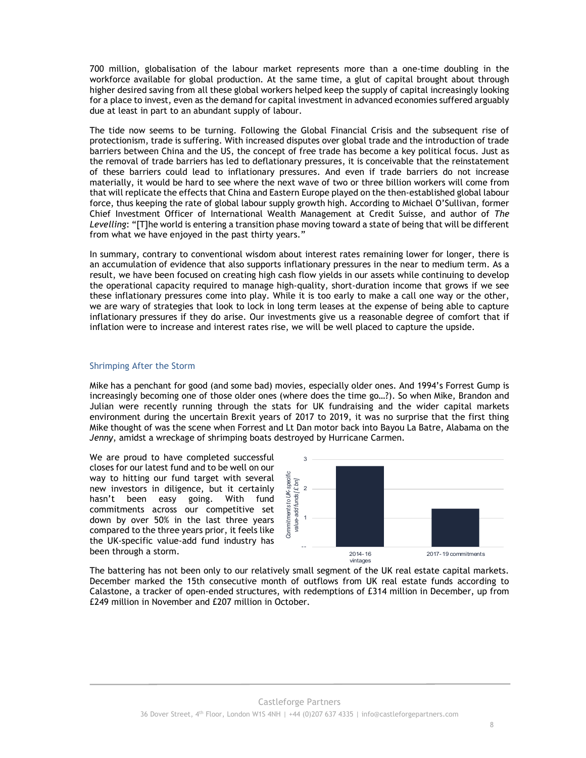700 million, globalisation of the labour market represents more than a one-time doubling in the workforce available for global production. At the same time, a glut of capital brought about through higher desired saving from all these global workers helped keep the supply of capital increasingly looking for a place to invest, even as the demand for capital investment in advanced economies suffered arguably due at least in part to an abundant supply of labour.

The tide now seems to be turning. Following the Global Financial Crisis and the subsequent rise of protectionism, trade is suffering. With increased disputes over global trade and the introduction of trade barriers between China and the US, the concept of free trade has become a key political focus. Just as the removal of trade barriers has led to deflationary pressures, it is conceivable that the reinstatement of these barriers could lead to inflationary pressures. And even if trade barriers do not increase materially, it would be hard to see where the next wave of two or three billion workers will come from that will replicate the effects that China and Eastern Europe played on the then-established global labour force, thus keeping the rate of global labour supply growth high. According to Michael O'Sullivan, former Chief Investment Officer of International Wealth Management at Credit Suisse, and author of The Levelling: "[T]he world is entering a transition phase moving toward a state of being that will be different from what we have enjoyed in the past thirty years."

In summary, contrary to conventional wisdom about interest rates remaining lower for longer, there is an accumulation of evidence that also supports inflationary pressures in the near to medium term. As a result, we have been focused on creating high cash flow yields in our assets while continuing to develop the operational capacity required to manage high-quality, short-duration income that grows if we see these inflationary pressures come into play. While it is too early to make a call one way or the other, we are wary of strategies that look to lock in long term leases at the expense of being able to capture inflationary pressures if they do arise. Our investments give us a reasonable degree of comfort that if inflation were to increase and interest rates rise, we will be well placed to capture the upside.

### Shrimping After the Storm

Mike has a penchant for good (and some bad) movies, especially older ones. And 1994's Forrest Gump is increasingly becoming one of those older ones (where does the time go…?). So when Mike, Brandon and Julian were recently running through the stats for UK fundraising and the wider capital markets environment during the uncertain Brexit years of 2017 to 2019, it was no surprise that the first thing Mike thought of was the scene when Forrest and Lt Dan motor back into Bayou La Batre, Alabama on the Jenny, amidst a wreckage of shrimping boats destroyed by Hurricane Carmen.

We are proud to have completed successful closes for our latest fund and to be well on our way to hitting our fund target with several new investors in diligence, but it certainly hasn't been easy going. With fund commitments across our competitive set down by over 50% in the last three years compared to the three years prior, it feels like the UK-specific value-add fund industry has been through a storm.



The battering has not been only to our relatively small segment of the UK real estate capital markets. December marked the 15th consecutive month of outflows from UK real estate funds according to Calastone, a tracker of open-ended structures, with redemptions of £314 million in December, up from £249 million in November and £207 million in October.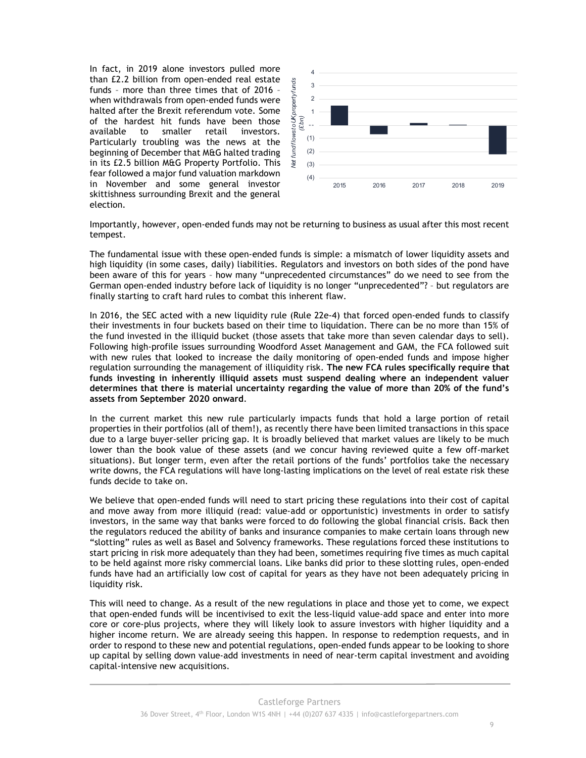In fact, in 2019 alone investors pulled more than £2.2 billion from open-ended real estate funds – more than three times that of 2016 – when withdrawals from open-ended funds were halted after the Brexit referendum vote. Some of the hardest hit funds have been those available to smaller retail investors. Particularly troubling was the news at the beginning of December that M&G halted trading in its £2.5 billion M&G Property Portfolio. This fear followed a major fund valuation markdown in November and some general investor skittishness surrounding Brexit and the general election.



Importantly, however, open-ended funds may not be returning to business as usual after this most recent tempest.

The fundamental issue with these open-ended funds is simple: a mismatch of lower liquidity assets and high liquidity (in some cases, daily) liabilities. Regulators and investors on both sides of the pond have been aware of this for years – how many "unprecedented circumstances" do we need to see from the German open-ended industry before lack of liquidity is no longer "unprecedented"? – but regulators are finally starting to craft hard rules to combat this inherent flaw.

In 2016, the SEC acted with a new liquidity rule (Rule 22e-4) that forced open-ended funds to classify their investments in four buckets based on their time to liquidation. There can be no more than 15% of the fund invested in the illiquid bucket (those assets that take more than seven calendar days to sell). Following high-profile issues surrounding Woodford Asset Management and GAM, the FCA followed suit with new rules that looked to increase the daily monitoring of open-ended funds and impose higher regulation surrounding the management of illiquidity risk. The new FCA rules specifically require that funds investing in inherently illiquid assets must suspend dealing where an independent valuer determines that there is material uncertainty regarding the value of more than 20% of the fund's assets from September 2020 onward.

In the current market this new rule particularly impacts funds that hold a large portion of retail properties in their portfolios (all of them!), as recently there have been limited transactions in this space due to a large buyer-seller pricing gap. It is broadly believed that market values are likely to be much lower than the book value of these assets (and we concur having reviewed quite a few off-market situations). But longer term, even after the retail portions of the funds' portfolios take the necessary write downs, the FCA regulations will have long-lasting implications on the level of real estate risk these funds decide to take on.

We believe that open-ended funds will need to start pricing these regulations into their cost of capital and move away from more illiquid (read: value-add or opportunistic) investments in order to satisfy investors, in the same way that banks were forced to do following the global financial crisis. Back then the regulators reduced the ability of banks and insurance companies to make certain loans through new "slotting" rules as well as Basel and Solvency frameworks. These regulations forced these institutions to start pricing in risk more adequately than they had been, sometimes requiring five times as much capital to be held against more risky commercial loans. Like banks did prior to these slotting rules, open-ended funds have had an artificially low cost of capital for years as they have not been adequately pricing in liquidity risk.

This will need to change. As a result of the new regulations in place and those yet to come, we expect that open-ended funds will be incentivised to exit the less-liquid value-add space and enter into more core or core-plus projects, where they will likely look to assure investors with higher liquidity and a higher income return. We are already seeing this happen. In response to redemption requests, and in order to respond to these new and potential regulations, open-ended funds appear to be looking to shore up capital by selling down value-add investments in need of near-term capital investment and avoiding capital-intensive new acquisitions.